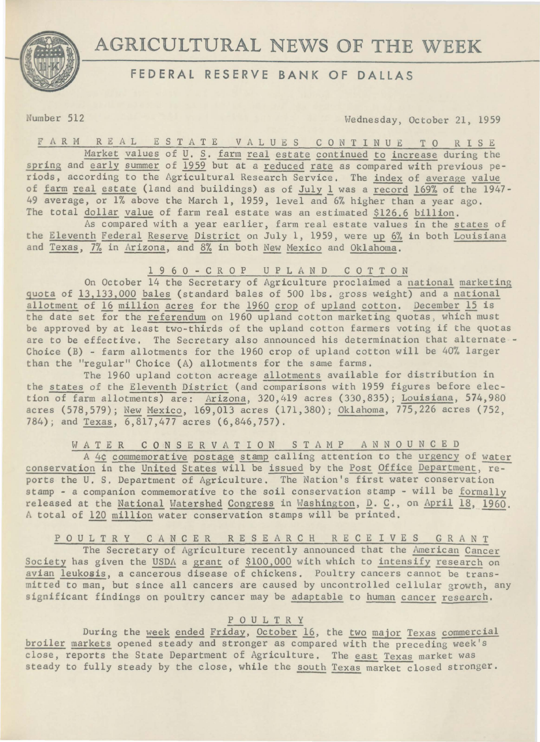

# **AGRICULTURAL** NEWS OF **THE** WEEK

## **FEDERAL RESERVE BANK OF DALLAS**

umber 512 Wednesday, October 21, 1959

F A R M R E *A* L E S T A T E V A L U E S C 0 N T I N U E T O R I S E Market values of *U*. S. farm real estate continued to increase during the spring and early summer of 1959 but at a reduced rate as compared with previous periods, according to the Agricultural Research Service, The index of average value of farm real estate (land and buildings) as of July 1 was a record 169% of the 1947-49 average, or 1% above the March 1, 1959, level and 6% higher than a year ago. The total dollar value of farm real estate was an estimated \$126.6 billion.

As compared with a year earlier, farm real estate values in the states of the Eleventh Federal Reserve District on July 1, 1959, were up 6% in both Louisiana and Texas, 7% in Arizona, and 8% in both New Mexico and Oklahoma.

### 1 9 6 0 - C R 0 P U P L *A* N D C 0 T T 0 N

On October 14 the Secretary of Agriculture proclaimed a national marketing quota of 13,133,000 bales (standard bales of 500 lbs. gross weight) and a national allotment of 16 million acres for the 1960 crop of upland cotton. December 15 is allotment of 16 million acres for the 1960 crop of upland cotton. December 15 is the date set for the referendum on 1960 upland cotton marketing quotas, which must be approved by at least two-thirds of the upland cotton farmers voting if the quotas are to be effective. The Secretary also announced his determination that alternate - Choice (B) - farm allotments for the 1960 crop of upland cotton will be 40% larger than the "regular" Choice (A) allotments for the same farms.

The 1960 upland cotton acreage allotments available for distribution in the states of the Eleventh District (and comparisons with 1959 figures before election of farm allotments) are: Arizona, 320,419 acres (330,835); Louisiana, 574,980 acres (578,579); New Mexico, 169,013 acres (171,380); Oklahoma, 775,226 acres (752, 784); and Texas, 6,817,477 acres (6,846,757).

WAT E R C 0 N S E R V A T I 0 N S T A M P A N N 0 U N C E D

A 4¢ commemorative postage stamp calling attention to the urgency of water conservation in the United States will be issued by the Post Office Department, reports the U. S. Department of Agriculture. The Nation's first water conservation stamp - a companion commemorative to the soil conservation stamp - will be formally released at the National Watershed Congress in Washington, D. C., on April 18, 1960. A total of 120 million water conservation stamps will be printed.

P 0 U L T R Y CANCER R E S E A R C H RECEIVES G R A N T The Secretary of Agriculture recently announced that the American Cancer Society has given the USDA a grant of \$100,000 with which to intensify research on avian leukosis, a cancerous disease of chickens. Poultry cancers cannot be transmitted to man, but since all cancers are caused by uncontrolled cellular growth, any significant findings on poultry cancer may be adaptable to human cancer research.

#### P 0 U L T R Y

During the week ended Friday, October 16, the two major Texas commercial broiler markets opened steady and stronger as compared with the preceding week's close, reports the State Department of Agriculture. The east Texas market was steady to fully steady by the close, while the south Texas market closed stronger.